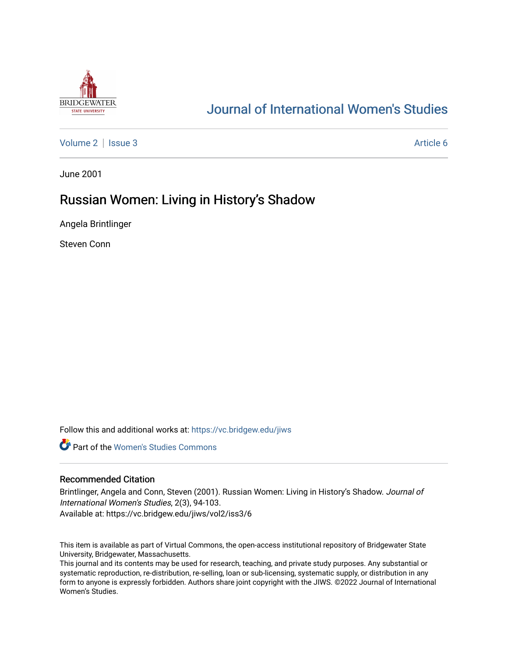

# [Journal of International Women's Studies](https://vc.bridgew.edu/jiws)

[Volume 2](https://vc.bridgew.edu/jiws/vol2) | [Issue 3](https://vc.bridgew.edu/jiws/vol2/iss3) Article 6

June 2001

## Russian Women: Living in History's Shadow

Angela Brintlinger

Steven Conn

Follow this and additional works at: [https://vc.bridgew.edu/jiws](https://vc.bridgew.edu/jiws?utm_source=vc.bridgew.edu%2Fjiws%2Fvol2%2Fiss3%2F6&utm_medium=PDF&utm_campaign=PDFCoverPages)

**C** Part of the Women's Studies Commons

#### Recommended Citation

Brintlinger, Angela and Conn, Steven (2001). Russian Women: Living in History's Shadow. Journal of International Women's Studies, 2(3), 94-103. Available at: https://vc.bridgew.edu/jiws/vol2/iss3/6

This item is available as part of Virtual Commons, the open-access institutional repository of Bridgewater State University, Bridgewater, Massachusetts.

This journal and its contents may be used for research, teaching, and private study purposes. Any substantial or systematic reproduction, re-distribution, re-selling, loan or sub-licensing, systematic supply, or distribution in any form to anyone is expressly forbidden. Authors share joint copyright with the JIWS. ©2022 Journal of International Women's Studies.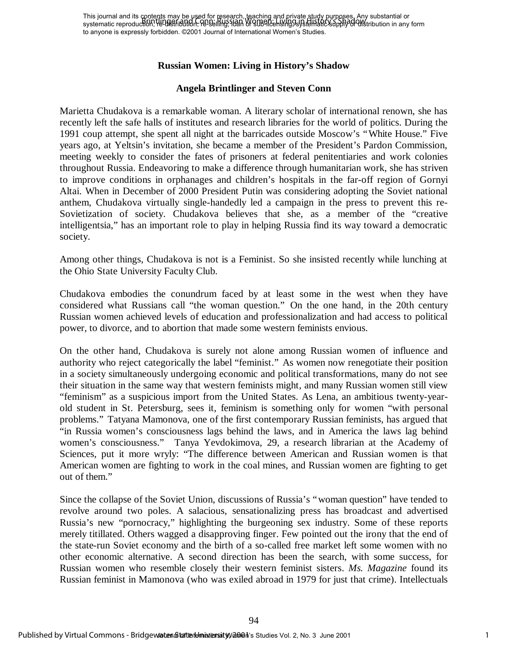## **Russian Women: Living in History's Shadow**

## **Angela Brintlinger and Steven Conn**

Marietta Chudakova is a remarkable woman. A literary scholar of international renown, she has recently left the safe halls of institutes and research libraries for the world of politics. During the 1991 coup attempt, she spent all night at the barricades outside Moscow's "White House." Five years ago, at Yeltsin's invitation, she became a member of the President's Pardon Commission, meeting weekly to consider the fates of prisoners at federal penitentiaries and work colonies throughout Russia. Endeavoring to make a difference through humanitarian work, she has striven to improve conditions in orphanages and children's hospitals in the far-off region of Gornyi Altai. When in December of 2000 President Putin was considering adopting the Soviet national anthem, Chudakova virtually single-handedly led a campaign in the press to prevent this re-Sovietization of society. Chudakova believes that she, as a member of the "creative intelligentsia," has an important role to play in helping Russia find its way toward a democratic society.

Among other things, Chudakova is not is a Feminist. So she insisted recently while lunching at the Ohio State University Faculty Club.

Chudakova embodies the conundrum faced by at least some in the west when they have considered what Russians call "the woman question." On the one hand, in the 20th century Russian women achieved levels of education and professionalization and had access to political power, to divorce, and to abortion that made some western feminists envious.

On the other hand, Chudakova is surely not alone among Russian women of influence and authority who reject categorically the label "feminist." As women now renegotiate their position in a society simultaneously undergoing economic and political transformations, many do not see their situation in the same way that western feminists might, and many Russian women still view "feminism" as a suspicious import from the United States. As Lena, an ambitious twenty-yearold student in St. Petersburg, sees it, feminism is something only for women "with personal problems." Tatyana Mamonova, one of the first contemporary Russian feminists, has argued that "in Russia women's consciousness lags behind the laws, and in America the laws lag behind women's consciousness." Tanya Yevdokimova, 29, a research librarian at the Academy of Sciences, put it more wryly: "The difference between American and Russian women is that American women are fighting to work in the coal mines, and Russian women are fighting to get out of them."

Since the collapse of the Soviet Union, discussions of Russia's "woman question" have tended to revolve around two poles. A salacious, sensationalizing press has broadcast and advertised Russia's new "pornocracy," highlighting the burgeoning sex industry. Some of these reports merely titillated. Others wagged a disapproving finger. Few pointed out the irony that the end of the state-run Soviet economy and the birth of a so-called free market left some women with no other economic alternative. A second direction has been the search, with some success, for Russian women who resemble closely their western feminist sisters. *Ms. Magazine* found its Russian feminist in Mamonova (who was exiled abroad in 1979 for just that crime). Intellectuals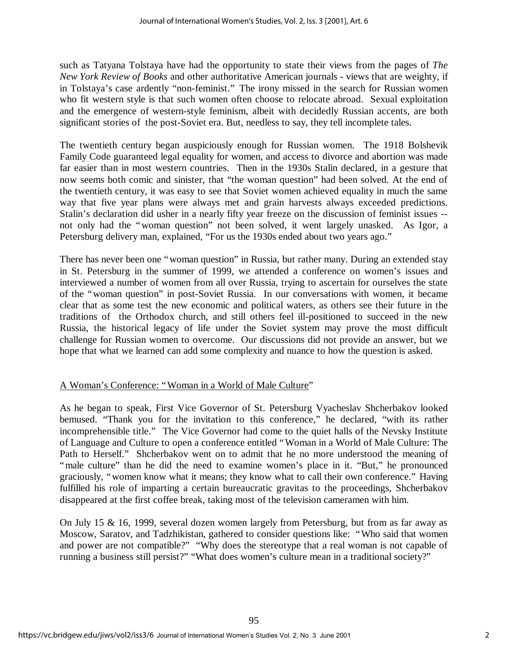such as Tatyana Tolstaya have had the opportunity to state their views from the pages of *The New York Review of Books* and other authoritative American journals - views that are weighty, if in Tolstaya's case ardently "non-feminist." The irony missed in the search for Russian women who fit western style is that such women often choose to relocate abroad. Sexual exploitation and the emergence of western-style feminism, albeit with decidedly Russian accents, are both significant stories of the post-Soviet era. But, needless to say, they tell incomplete tales.

The twentieth century began auspiciously enough for Russian women. The 1918 Bolshevik Family Code guaranteed legal equality for women, and access to divorce and abortion was made far easier than in most western countries. Then in the 1930s Stalin declared, in a gesture that now seems both comic and sinister, that "the woman question" had been solved. At the end of the twentieth century, it was easy to see that Soviet women achieved equality in much the same way that five year plans were always met and grain harvests always exceeded predictions. Stalin's declaration did usher in a nearly fifty year freeze on the discussion of feminist issues - not only had the "woman question" not been solved, it went largely unasked. As Igor, a Petersburg delivery man, explained, "For us the 1930s ended about two years ago."

There has never been one "woman question" in Russia, but rather many. During an extended stay in St. Petersburg in the summer of 1999, we attended a conference on women's issues and interviewed a number of women from all over Russia, trying to ascertain for ourselves the state of the "woman question" in post-Soviet Russia. In our conversations with women, it became clear that as some test the new economic and political waters, as others see their future in the traditions of the Orthodox church, and still others feel ill-positioned to succeed in the new Russia, the historical legacy of life under the Soviet system may prove the most difficult challenge for Russian women to overcome. Our discussions did not provide an answer, but we hope that what we learned can add some complexity and nuance to how the question is asked.

## A Woman's Conference: "Woman in a World of Male Culture"

As he began to speak, First Vice Governor of St. Petersburg Vyacheslav Shcherbakov looked bemused. "Thank you for the invitation to this conference," he declared, "with its rather incomprehensible title." The Vice Governor had come to the quiet halls of the Nevsky Institute of Language and Culture to open a conference entitled "Woman in a World of Male Culture: The Path to Herself." Shcherbakov went on to admit that he no more understood the meaning of "male culture" than he did the need to examine women's place in it. "But," he pronounced graciously, "women know what it means; they know what to call their own conference." Having fulfilled his role of imparting a certain bureaucratic gravitas to the proceedings, Shcherbakov disappeared at the first coffee break, taking most of the television cameramen with him.

On July 15 & 16, 1999, several dozen women largely from Petersburg, but from as far away as Moscow, Saratov, and Tadzhikistan, gathered to consider questions like: "Who said that women and power are not compatible?" "Why does the stereotype that a real woman is not capable of running a business still persist?" "What does women's culture mean in a traditional society?"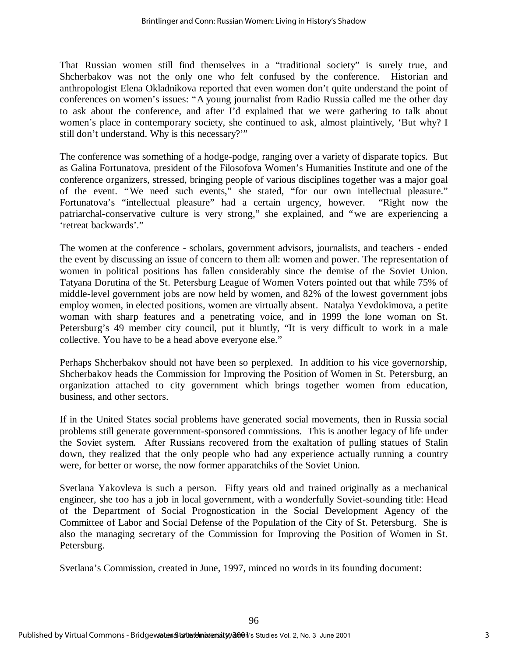That Russian women still find themselves in a "traditional society" is surely true, and Shcherbakov was not the only one who felt confused by the conference. Historian and anthropologist Elena Okladnikova reported that even women don't quite understand the point of conferences on women's issues: "A young journalist from Radio Russia called me the other day to ask about the conference, and after I'd explained that we were gathering to talk about women's place in contemporary society, she continued to ask, almost plaintively, 'But why? I still don't understand. Why is this necessary?'"

The conference was something of a hodge-podge, ranging over a variety of disparate topics. But as Galina Fortunatova, president of the Filosofova Women's Humanities Institute and one of the conference organizers, stressed, bringing people of various disciplines together was a major goal of the event. "We need such events," she stated, "for our own intellectual pleasure." Fortunatova's "intellectual pleasure" had a certain urgency, however. "Right now the patriarchal-conservative culture is very strong," she explained, and "we are experiencing a 'retreat backwards'."

The women at the conference - scholars, government advisors, journalists, and teachers - ended the event by discussing an issue of concern to them all: women and power. The representation of women in political positions has fallen considerably since the demise of the Soviet Union. Tatyana Dorutina of the St. Petersburg League of Women Voters pointed out that while 75% of middle-level government jobs are now held by women, and 82% of the lowest government jobs employ women, in elected positions, women are virtually absent. Natalya Yevdokimova, a petite woman with sharp features and a penetrating voice, and in 1999 the lone woman on St. Petersburg's 49 member city council, put it bluntly, "It is very difficult to work in a male collective. You have to be a head above everyone else."

Perhaps Shcherbakov should not have been so perplexed. In addition to his vice governorship, Shcherbakov heads the Commission for Improving the Position of Women in St. Petersburg, an organization attached to city government which brings together women from education, business, and other sectors.

If in the United States social problems have generated social movements, then in Russia social problems still generate government-sponsored commissions. This is another legacy of life under the Soviet system. After Russians recovered from the exaltation of pulling statues of Stalin down, they realized that the only people who had any experience actually running a country were, for better or worse, the now former apparatchiks of the Soviet Union.

Svetlana Yakovleva is such a person. Fifty years old and trained originally as a mechanical engineer, she too has a job in local government, with a wonderfully Soviet-sounding title: Head of the Department of Social Prognostication in the Social Development Agency of the Committee of Labor and Social Defense of the Population of the City of St. Petersburg. She is also the managing secretary of the Commission for Improving the Position of Women in St. Petersburg.

Svetlana's Commission, created in June, 1997, minced no words in its founding document: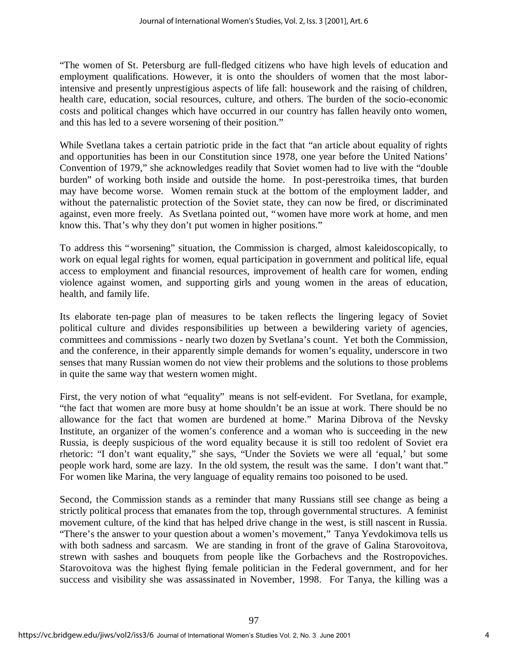"The women of St. Petersburg are full-fledged citizens who have high levels of education and employment qualifications. However, it is onto the shoulders of women that the most laborintensive and presently unprestigious aspects of life fall: housework and the raising of children, health care, education, social resources, culture, and others. The burden of the socio-economic costs and political changes which have occurred in our country has fallen heavily onto women, and this has led to a severe worsening of their position."

While Svetlana takes a certain patriotic pride in the fact that "an article about equality of rights and opportunities has been in our Constitution since 1978, one year before the United Nations' Convention of 1979," she acknowledges readily that Soviet women had to live with the "double burden" of working both inside and outside the home. In post-perestroika times, that burden may have become worse. Women remain stuck at the bottom of the employment ladder, and without the paternalistic protection of the Soviet state, they can now be fired, or discriminated against, even more freely. As Svetlana pointed out, "women have more work at home, and men know this. That's why they don't put women in higher positions."

To address this "worsening" situation, the Commission is charged, almost kaleidoscopically, to work on equal legal rights for women, equal participation in government and political life, equal access to employment and financial resources, improvement of health care for women, ending violence against women, and supporting girls and young women in the areas of education, health, and family life.

Its elaborate ten-page plan of measures to be taken reflects the lingering legacy of Soviet political culture and divides responsibilities up between a bewildering variety of agencies, committees and commissions - nearly two dozen by Svetlana's count. Yet both the Commission, and the conference, in their apparently simple demands for women's equality, underscore in two senses that many Russian women do not view their problems and the solutions to those problems in quite the same way that western women might.

First, the very notion of what "equality" means is not self-evident. For Svetlana, for example, "the fact that women are more busy at home shouldn't be an issue at work. There should be no allowance for the fact that women are burdened at home." Marina Dibrova of the Nevsky Institute, an organizer of the women's conference and a woman who is succeeding in the new Russia, is deeply suspicious of the word equality because it is still too redolent of Soviet era rhetoric: "I don't want equality," she says, "Under the Soviets we were all 'equal,' but some people work hard, some are lazy. In the old system, the result was the same. I don't want that." For women like Marina, the very language of equality remains too poisoned to be used.

Second, the Commission stands as a reminder that many Russians still see change as being a strictly political process that emanates from the top, through governmental structures. A feminist movement culture, of the kind that has helped drive change in the west, is still nascent in Russia. "There's the answer to your question about a women's movement," Tanya Yevdokimova tells us with both sadness and sarcasm. We are standing in front of the grave of Galina Starovoitova, strewn with sashes and bouquets from people like the Gorbachevs and the Rostropoviches. Starovoitova was the highest flying female politician in the Federal government, and for her success and visibility she was assassinated in November, 1998. For Tanya, the killing was a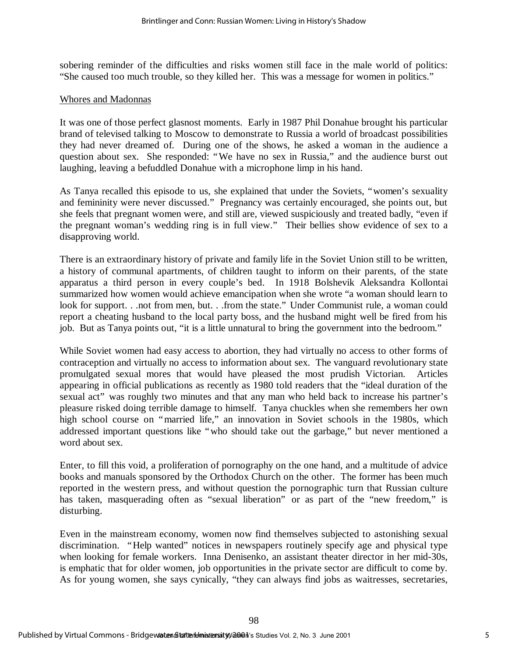sobering reminder of the difficulties and risks women still face in the male world of politics: "She caused too much trouble, so they killed her. This was a message for women in politics."

#### Whores and Madonnas

It was one of those perfect glasnost moments. Early in 1987 Phil Donahue brought his particular brand of televised talking to Moscow to demonstrate to Russia a world of broadcast possibilities they had never dreamed of. During one of the shows, he asked a woman in the audience a question about sex. She responded: "We have no sex in Russia," and the audience burst out laughing, leaving a befuddled Donahue with a microphone limp in his hand.

As Tanya recalled this episode to us, she explained that under the Soviets, "women's sexuality and femininity were never discussed." Pregnancy was certainly encouraged, she points out, but she feels that pregnant women were, and still are, viewed suspiciously and treated badly, "even if the pregnant woman's wedding ring is in full view." Their bellies show evidence of sex to a disapproving world.

There is an extraordinary history of private and family life in the Soviet Union still to be written, a history of communal apartments, of children taught to inform on their parents, of the state apparatus a third person in every couple's bed. In 1918 Bolshevik Aleksandra Kollontai summarized how women would achieve emancipation when she wrote "a woman should learn to look for support. . .not from men, but. . .from the state." Under Communist rule, a woman could report a cheating husband to the local party boss, and the husband might well be fired from his job. But as Tanya points out, "it is a little unnatural to bring the government into the bedroom."

While Soviet women had easy access to abortion, they had virtually no access to other forms of contraception and virtually no access to information about sex. The vanguard revolutionary state promulgated sexual mores that would have pleased the most prudish Victorian. Articles appearing in official publications as recently as 1980 told readers that the "ideal duration of the sexual act" was roughly two minutes and that any man who held back to increase his partner's pleasure risked doing terrible damage to himself. Tanya chuckles when she remembers her own high school course on "married life," an innovation in Soviet schools in the 1980s, which addressed important questions like "who should take out the garbage," but never mentioned a word about sex.

Enter, to fill this void, a proliferation of pornography on the one hand, and a multitude of advice books and manuals sponsored by the Orthodox Church on the other. The former has been much reported in the western press, and without question the pornographic turn that Russian culture has taken, masquerading often as "sexual liberation" or as part of the "new freedom," is disturbing.

Even in the mainstream economy, women now find themselves subjected to astonishing sexual discrimination. "Help wanted" notices in newspapers routinely specify age and physical type when looking for female workers. Inna Denisenko, an assistant theater director in her mid-30s, is emphatic that for older women, job opportunities in the private sector are difficult to come by. As for young women, she says cynically, "they can always find jobs as waitresses, secretaries,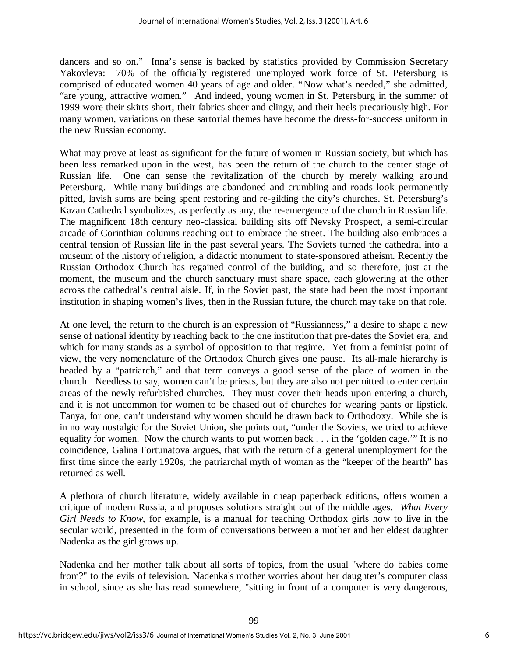dancers and so on." Inna's sense is backed by statistics provided by Commission Secretary Yakovleva: 70% of the officially registered unemployed work force of St. Petersburg is comprised of educated women 40 years of age and older. "Now what's needed," she admitted, "are young, attractive women." And indeed, young women in St. Petersburg in the summer of 1999 wore their skirts short, their fabrics sheer and clingy, and their heels precariously high. For many women, variations on these sartorial themes have become the dress-for-success uniform in the new Russian economy.

What may prove at least as significant for the future of women in Russian society, but which has been less remarked upon in the west, has been the return of the church to the center stage of Russian life. One can sense the revitalization of the church by merely walking around Petersburg. While many buildings are abandoned and crumbling and roads look permanently pitted, lavish sums are being spent restoring and re-gilding the city's churches. St. Petersburg's Kazan Cathedral symbolizes, as perfectly as any, the re-emergence of the church in Russian life. The magnificent 18th century neo-classical building sits off Nevsky Prospect, a semi-circular arcade of Corinthian columns reaching out to embrace the street. The building also embraces a central tension of Russian life in the past several years. The Soviets turned the cathedral into a museum of the history of religion, a didactic monument to state-sponsored atheism. Recently the Russian Orthodox Church has regained control of the building, and so therefore, just at the moment, the museum and the church sanctuary must share space, each glowering at the other across the cathedral's central aisle. If, in the Soviet past, the state had been the most important institution in shaping women's lives, then in the Russian future, the church may take on that role.

At one level, the return to the church is an expression of "Russianness," a desire to shape a new sense of national identity by reaching back to the one institution that pre-dates the Soviet era, and which for many stands as a symbol of opposition to that regime. Yet from a feminist point of view, the very nomenclature of the Orthodox Church gives one pause. Its all-male hierarchy is headed by a "patriarch," and that term conveys a good sense of the place of women in the church. Needless to say, women can't be priests, but they are also not permitted to enter certain areas of the newly refurbished churches. They must cover their heads upon entering a church, and it is not uncommon for women to be chased out of churches for wearing pants or lipstick. Tanya, for one, can't understand why women should be drawn back to Orthodoxy. While she is in no way nostalgic for the Soviet Union, she points out, "under the Soviets, we tried to achieve equality for women. Now the church wants to put women back . . . in the 'golden cage.'" It is no coincidence, Galina Fortunatova argues, that with the return of a general unemployment for the first time since the early 1920s, the patriarchal myth of woman as the "keeper of the hearth" has returned as well.

A plethora of church literature, widely available in cheap paperback editions, offers women a critique of modern Russia, and proposes solutions straight out of the middle ages. *What Every Girl Needs to Know*, for example, is a manual for teaching Orthodox girls how to live in the secular world, presented in the form of conversations between a mother and her eldest daughter Nadenka as the girl grows up.

Nadenka and her mother talk about all sorts of topics, from the usual "where do babies come from?" to the evils of television. Nadenka's mother worries about her daughter's computer class in school, since as she has read somewhere, "sitting in front of a computer is very dangerous,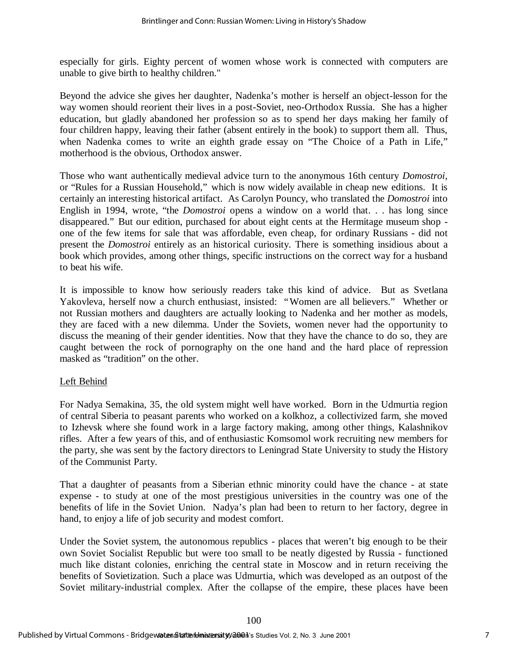especially for girls. Eighty percent of women whose work is connected with computers are unable to give birth to healthy children."

Beyond the advice she gives her daughter, Nadenka's mother is herself an object-lesson for the way women should reorient their lives in a post-Soviet, neo-Orthodox Russia. She has a higher education, but gladly abandoned her profession so as to spend her days making her family of four children happy, leaving their father (absent entirely in the book) to support them all. Thus, when Nadenka comes to write an eighth grade essay on "The Choice of a Path in Life," motherhood is the obvious, Orthodox answer.

Those who want authentically medieval advice turn to the anonymous 16th century *Domostroi*, or "Rules for a Russian Household," which is now widely available in cheap new editions. It is certainly an interesting historical artifact. As Carolyn Pouncy, who translated the *Domostroi* into English in 1994, wrote, "the *Domostroi* opens a window on a world that. . . has long since disappeared." But our edition, purchased for about eight cents at the Hermitage museum shop one of the few items for sale that was affordable, even cheap, for ordinary Russians - did not present the *Domostroi* entirely as an historical curiosity. There is something insidious about a book which provides, among other things, specific instructions on the correct way for a husband to beat his wife.

It is impossible to know how seriously readers take this kind of advice. But as Svetlana Yakovleva, herself now a church enthusiast, insisted: "Women are all believers." Whether or not Russian mothers and daughters are actually looking to Nadenka and her mother as models, they are faced with a new dilemma. Under the Soviets, women never had the opportunity to discuss the meaning of their gender identities. Now that they have the chance to do so, they are caught between the rock of pornography on the one hand and the hard place of repression masked as "tradition" on the other.

#### Left Behind

For Nadya Semakina, 35, the old system might well have worked. Born in the Udmurtia region of central Siberia to peasant parents who worked on a kolkhoz, a collectivized farm, she moved to Izhevsk where she found work in a large factory making, among other things, Kalashnikov rifles. After a few years of this, and of enthusiastic Komsomol work recruiting new members for the party, she was sent by the factory directors to Leningrad State University to study the History of the Communist Party.

That a daughter of peasants from a Siberian ethnic minority could have the chance - at state expense - to study at one of the most prestigious universities in the country was one of the benefits of life in the Soviet Union. Nadya's plan had been to return to her factory, degree in hand, to enjoy a life of job security and modest comfort.

Under the Soviet system, the autonomous republics - places that weren't big enough to be their own Soviet Socialist Republic but were too small to be neatly digested by Russia - functioned much like distant colonies, enriching the central state in Moscow and in return receiving the benefits of Sovietization. Such a place was Udmurtia, which was developed as an outpost of the Soviet military-industrial complex. After the collapse of the empire, these places have been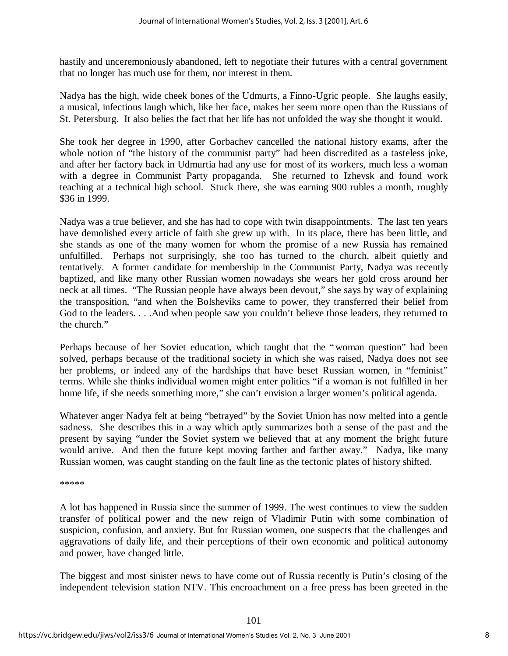hastily and unceremoniously abandoned, left to negotiate their futures with a central government that no longer has much use for them, nor interest in them.

Nadya has the high, wide cheek bones of the Udmurts, a Finno-Ugric people. She laughs easily, a musical, infectious laugh which, like her face, makes her seem more open than the Russians of St. Petersburg. It also belies the fact that her life has not unfolded the way she thought it would.

She took her degree in 1990, after Gorbachev cancelled the national history exams, after the whole notion of "the history of the communist party" had been discredited as a tasteless joke, and after her factory back in Udmurtia had any use for most of its workers, much less a woman with a degree in Communist Party propaganda. She returned to Izhevsk and found work teaching at a technical high school. Stuck there, she was earning 900 rubles a month, roughly \$36 in 1999.

Nadya was a true believer, and she has had to cope with twin disappointments. The last ten years have demolished every article of faith she grew up with. In its place, there has been little, and she stands as one of the many women for whom the promise of a new Russia has remained unfulfilled. Perhaps not surprisingly, she too has turned to the church, albeit quietly and tentatively. A former candidate for membership in the Communist Party, Nadya was recently baptized, and like many other Russian women nowadays she wears her gold cross around her neck at all times. "The Russian people have always been devout," she says by way of explaining the transposition, "and when the Bolsheviks came to power, they transferred their belief from God to the leaders. . . .And when people saw you couldn't believe those leaders, they returned to the church."

Perhaps because of her Soviet education, which taught that the "woman question" had been solved, perhaps because of the traditional society in which she was raised, Nadya does not see her problems, or indeed any of the hardships that have beset Russian women, in "feminist" terms. While she thinks individual women might enter politics "if a woman is not fulfilled in her home life, if she needs something more," she can't envision a larger women's political agenda.

Whatever anger Nadya felt at being "betrayed" by the Soviet Union has now melted into a gentle sadness. She describes this in a way which aptly summarizes both a sense of the past and the present by saying "under the Soviet system we believed that at any moment the bright future would arrive. And then the future kept moving farther and farther away." Nadya, like many Russian women, was caught standing on the fault line as the tectonic plates of history shifted.

\*\*\*\*\*

A lot has happened in Russia since the summer of 1999. The west continues to view the sudden transfer of political power and the new reign of Vladimir Putin with some combination of suspicion, confusion, and anxiety. But for Russian women, one suspects that the challenges and aggravations of daily life, and their perceptions of their own economic and political autonomy and power, have changed little.

The biggest and most sinister news to have come out of Russia recently is Putin's closing of the independent television station NTV. This encroachment on a free press has been greeted in the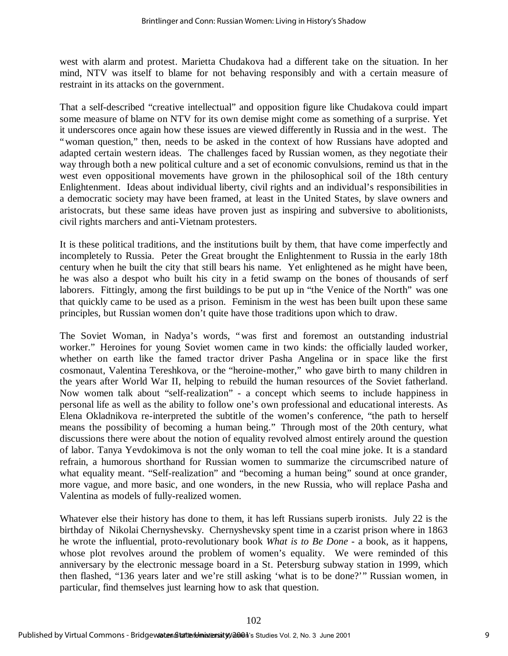west with alarm and protest. Marietta Chudakova had a different take on the situation. In her mind, NTV was itself to blame for not behaving responsibly and with a certain measure of restraint in its attacks on the government.

That a self-described "creative intellectual" and opposition figure like Chudakova could impart some measure of blame on NTV for its own demise might come as something of a surprise. Yet it underscores once again how these issues are viewed differently in Russia and in the west. The "woman question," then, needs to be asked in the context of how Russians have adopted and adapted certain western ideas. The challenges faced by Russian women, as they negotiate their way through both a new political culture and a set of economic convulsions, remind us that in the west even oppositional movements have grown in the philosophical soil of the 18th century Enlightenment. Ideas about individual liberty, civil rights and an individual's responsibilities in a democratic society may have been framed, at least in the United States, by slave owners and aristocrats, but these same ideas have proven just as inspiring and subversive to abolitionists, civil rights marchers and anti-Vietnam protesters.

It is these political traditions, and the institutions built by them, that have come imperfectly and incompletely to Russia. Peter the Great brought the Enlightenment to Russia in the early 18th century when he built the city that still bears his name. Yet enlightened as he might have been, he was also a despot who built his city in a fetid swamp on the bones of thousands of serf laborers. Fittingly, among the first buildings to be put up in "the Venice of the North" was one that quickly came to be used as a prison. Feminism in the west has been built upon these same principles, but Russian women don't quite have those traditions upon which to draw.

The Soviet Woman, in Nadya's words, "was first and foremost an outstanding industrial worker." Heroines for young Soviet women came in two kinds: the officially lauded worker, whether on earth like the famed tractor driver Pasha Angelina or in space like the first cosmonaut, Valentina Tereshkova, or the "heroine-mother," who gave birth to many children in the years after World War II, helping to rebuild the human resources of the Soviet fatherland. Now women talk about "self-realization" - a concept which seems to include happiness in personal life as well as the ability to follow one's own professional and educational interests. As Elena Okladnikova re-interpreted the subtitle of the women's conference, "the path to herself means the possibility of becoming a human being." Through most of the 20th century, what discussions there were about the notion of equality revolved almost entirely around the question of labor. Tanya Yevdokimova is not the only woman to tell the coal mine joke. It is a standard refrain, a humorous shorthand for Russian women to summarize the circumscribed nature of what equality meant. "Self-realization" and "becoming a human being" sound at once grander, more vague, and more basic, and one wonders, in the new Russia, who will replace Pasha and Valentina as models of fully-realized women.

Whatever else their history has done to them, it has left Russians superb ironists. July 22 is the birthday of Nikolai Chernyshevsky. Chernyshevsky spent time in a czarist prison where in 1863 he wrote the influential, proto-revolutionary book *What is to Be Done* - a book, as it happens, whose plot revolves around the problem of women's equality. We were reminded of this anniversary by the electronic message board in a St. Petersburg subway station in 1999, which then flashed, "136 years later and we're still asking 'what is to be done?'" Russian women, in particular, find themselves just learning how to ask that question.